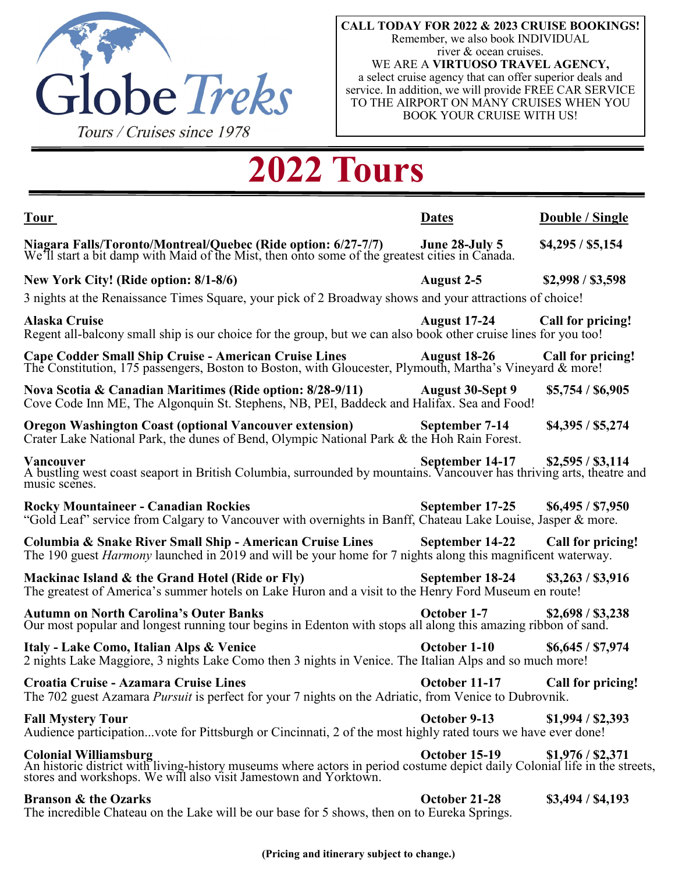

**CALL TODAY FOR 2022 & 2023 CRUISE BOOKINGS!** Remember, we also book INDIVIDUAL river & ocean cruises. WE ARE A **VIRTUOSO TRAVEL AGENCY,**  a select cruise agency that can offer superior deals and service. In addition, we will provide FREE CAR SERVICE TO THE AIRPORT ON MANY CRUISES WHEN YOU BOOK YOUR CRUISE WITH US!

# **2022 Tours**

| <b>Tour</b>                                                                                                                                                                                                                    | <b>Dates</b>                      | Double / Single   |
|--------------------------------------------------------------------------------------------------------------------------------------------------------------------------------------------------------------------------------|-----------------------------------|-------------------|
| Niagara Falls/Toronto/Montreal/Quebec (Ride option: 6/27-7/7) June 28-July 5<br>We'll start a bit damp with Maid of the Mist, then onto some of the greatest cities in Canada.                                                 |                                   | \$4,295 / \$5,154 |
| New York City! (Ride option: 8/1-8/6)                                                                                                                                                                                          | August 2-5                        | \$2,998 / \$3,598 |
| 3 nights at the Renaissance Times Square, your pick of 2 Broadway shows and your attractions of choice!                                                                                                                        |                                   |                   |
| <b>Alaska Cruise</b><br>Regent all-balcony small ship is our choice for the group, but we can also book other cruise lines for you too!                                                                                        | <b>August 17-24</b>               | Call for pricing! |
| <b>Cape Codder Small Ship Cruise - American Cruise Lines</b><br>The Constitution, 175 passengers, Boston to Boston, with Gloucester, Plymouth, Martha's Vineyard & more!                                                       | <b>August 18-26</b>               | Call for pricing! |
| Nova Scotia & Canadian Maritimes (Ride option: 8/28-9/11)<br>Cove Code Inn ME, The Algonquin St. Stephens, NB, PEI, Baddeck and Halifax. Sea and Food!                                                                         | August 30-Sept 9                  | \$5,754 / \$6,905 |
| <b>Oregon Washington Coast (optional Vancouver extension)</b><br>Crater Lake National Park, the dunes of Bend, Olympic National Park & the Hoh Rain Forest.                                                                    | September 7-14                    | \$4,395 / \$5,274 |
| Vancouver<br>A bustling west coast seaport in British Columbia, surrounded by mountains. Vancouver has thriving arts, theatre and<br>music scenes.                                                                             |                                   | \$2,595 / \$3,114 |
| <b>Rocky Mountaineer - Canadian Rockies</b><br>"Gold Leaf" service from Calgary to Vancouver with overnights in Banff, Chateau Lake Louise, Jasper & more.                                                                     | September 17-25 \$6,495 / \$7,950 |                   |
| Columbia & Snake River Small Ship - American Cruise Lines<br>The 190 guest <i>Harmony</i> launched in 2019 and will be your home for 7 nights along this magnificent waterway.                                                 | September 14-22 Call for pricing! |                   |
| Mackinac Island & the Grand Hotel (Ride or Fly)<br>The greatest of America's summer hotels on Lake Huron and a visit to the Henry Ford Museum en route!                                                                        | September 18-24                   | \$3,263 / \$3,916 |
| <b>Autumn on North Carolina's Outer Banks</b><br>Our most popular and longest running tour begins in Edenton with stops all along this amazing ribbon of sand.                                                                 | October 1-7                       | \$2,698 / \$3,238 |
| Italy - Lake Como, Italian Alps & Venice<br>2 nights Lake Maggiore, 3 nights Lake Como then 3 nights in Venice. The Italian Alps and so much more!                                                                             | October 1-10                      | \$6,645 / \$7,974 |
| Croatia Cruise - Azamara Cruise Lines<br>The 702 guest Azamara <i>Pursuit</i> is perfect for your 7 nights on the Adriatic, from Venice to Dubrovnik.                                                                          | October 11-17                     | Call for pricing! |
| <b>Fall Mystery Tour</b><br>Audience participationvote for Pittsburgh or Cincinnati, 2 of the most highly rated tours we have ever done!                                                                                       | October 9-13                      | \$1,994 / \$2,393 |
| <b>Colonial Williamsburg</b><br>An historic district with living-history museums where actors in period costume depict daily Colonial life in the streets,<br>stores and workshops. We will also visit Jamestown and Yorktown. | October 15-19                     | \$1,976 / \$2,371 |
| <b>Branson &amp; the Ozarks</b>                                                                                                                                                                                                | October 21-28                     | \$3,494 / \$4,193 |

The incredible Chateau on the Lake will be our base for 5 shows, then on to Eureka Springs.